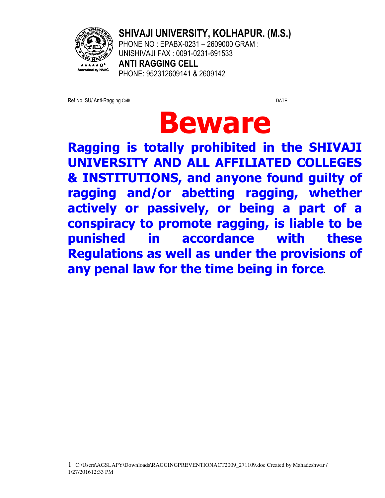

**SHIVAJI UNIVERSITY, KOLHAPUR. (M.S.)** 

PHONE NO : EPABX-0231 – 2609000 GRAM : UNISHIVAJI FAX : 0091-0231-691533 **ANTI RAGGING CELL**  PHONE: 952312609141 & 2609142

Ref No. SU/ Anti-Ragging Cell/ DATE:

# **Beware**

**Ragging is totally prohibited in the SHIVAJI UNIVERSITY AND ALL AFFILIATED COLLEGES & INSTITUTIONS, and anyone found guilty of ragging and/or abetting ragging, whether actively or passively, or being a part of a conspiracy to promote ragging, is liable to be punished in accordance with these Regulations as well as under the provisions of any penal law for the time being in force.**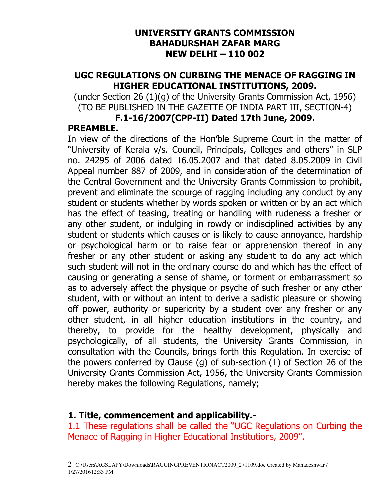#### **UNIVERSITY GRANTS COMMISSION BAHADURSHAH ZAFAR MARG NEW DELHI – 110 002**

## **UGC REGULATIONS ON CURBING THE MENACE OF RAGGING IN HIGHER EDUCATIONAL INSTITUTIONS, 2009.**

(under Section 26 (1)(g) of the University Grants Commission Act, 1956) (TO BE PUBLISHED IN THE GAZETTE OF INDIA PART III, SECTION-4)

#### **F.1-16/2007(CPP-II) Dated 17th June, 2009.**

# **PREAMBLE.**

In view of the directions of the Hon'ble Supreme Court in the matter of "University of Kerala v/s. Council, Principals, Colleges and others" in SLP no. 24295 of 2006 dated 16.05.2007 and that dated 8.05.2009 in Civil Appeal number 887 of 2009, and in consideration of the determination of the Central Government and the University Grants Commission to prohibit, prevent and eliminate the scourge of ragging including any conduct by any student or students whether by words spoken or written or by an act which has the effect of teasing, treating or handling with rudeness a fresher or any other student, or indulging in rowdy or indisciplined activities by any student or students which causes or is likely to cause annoyance, hardship or psychological harm or to raise fear or apprehension thereof in any fresher or any other student or asking any student to do any act which such student will not in the ordinary course do and which has the effect of causing or generating a sense of shame, or torment or embarrassment so as to adversely affect the physique or psyche of such fresher or any other student, with or without an intent to derive a sadistic pleasure or showing off power, authority or superiority by a student over any fresher or any other student, in all higher education institutions in the country, and thereby, to provide for the healthy development, physically and psychologically, of all students, the University Grants Commission, in consultation with the Councils, brings forth this Regulation. In exercise of the powers conferred by Clause (g) of sub-section (1) of Section 26 of the University Grants Commission Act, 1956, the University Grants Commission hereby makes the following Regulations, namely;

## **1. Title, commencement and applicability.-**

1.1 These regulations shall be called the "UGC Regulations on Curbing the Menace of Ragging in Higher Educational Institutions, 2009".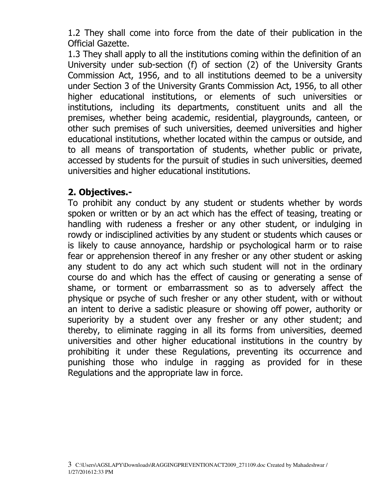1.2 They shall come into force from the date of their publication in the Official Gazette.

1.3 They shall apply to all the institutions coming within the definition of an University under sub-section (f) of section (2) of the University Grants Commission Act, 1956, and to all institutions deemed to be a university under Section 3 of the University Grants Commission Act, 1956, to all other higher educational institutions, or elements of such universities or institutions, including its departments, constituent units and all the premises, whether being academic, residential, playgrounds, canteen, or other such premises of such universities, deemed universities and higher educational institutions, whether located within the campus or outside, and to all means of transportation of students, whether public or private, accessed by students for the pursuit of studies in such universities, deemed universities and higher educational institutions.

# **2. Objectives.-**

To prohibit any conduct by any student or students whether by words spoken or written or by an act which has the effect of teasing, treating or handling with rudeness a fresher or any other student, or indulging in rowdy or indisciplined activities by any student or students which causes or is likely to cause annoyance, hardship or psychological harm or to raise fear or apprehension thereof in any fresher or any other student or asking any student to do any act which such student will not in the ordinary course do and which has the effect of causing or generating a sense of shame, or torment or embarrassment so as to adversely affect the physique or psyche of such fresher or any other student, with or without an intent to derive a sadistic pleasure or showing off power, authority or superiority by a student over any fresher or any other student; and thereby, to eliminate ragging in all its forms from universities, deemed universities and other higher educational institutions in the country by prohibiting it under these Regulations, preventing its occurrence and punishing those who indulge in ragging as provided for in these Regulations and the appropriate law in force.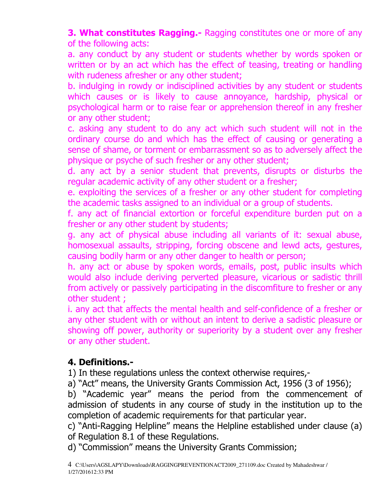**3. What constitutes Ragging.-** Ragging constitutes one or more of any of the following acts:

a. any conduct by any student or students whether by words spoken or written or by an act which has the effect of teasing, treating or handling with rudeness afresher or any other student;

b. indulging in rowdy or indisciplined activities by any student or students which causes or is likely to cause annoyance, hardship, physical or psychological harm or to raise fear or apprehension thereof in any fresher or any other student;

c. asking any student to do any act which such student will not in the ordinary course do and which has the effect of causing or generating a sense of shame, or torment or embarrassment so as to adversely affect the physique or psyche of such fresher or any other student;

d. any act by a senior student that prevents, disrupts or disturbs the regular academic activity of any other student or a fresher;

e. exploiting the services of a fresher or any other student for completing the academic tasks assigned to an individual or a group of students.

f. any act of financial extortion or forceful expenditure burden put on a fresher or any other student by students;

g. any act of physical abuse including all variants of it: sexual abuse, homosexual assaults, stripping, forcing obscene and lewd acts, gestures, causing bodily harm or any other danger to health or person;

h. any act or abuse by spoken words, emails, post, public insults which would also include deriving perverted pleasure, vicarious or sadistic thrill from actively or passively participating in the discomfiture to fresher or any other student ;

i. any act that affects the mental health and self-confidence of a fresher or any other student with or without an intent to derive a sadistic pleasure or showing off power, authority or superiority by a student over any fresher or any other student.

# **4. Definitions.-**

1) In these regulations unless the context otherwise requires,-

a) "Act" means, the University Grants Commission Act, 1956 (3 of 1956);

b) "Academic year" means the period from the commencement of admission of students in any course of study in the institution up to the completion of academic requirements for that particular year.

c) "Anti-Ragging Helpline" means the Helpline established under clause (a) of Regulation 8.1 of these Regulations.

d) "Commission" means the University Grants Commission;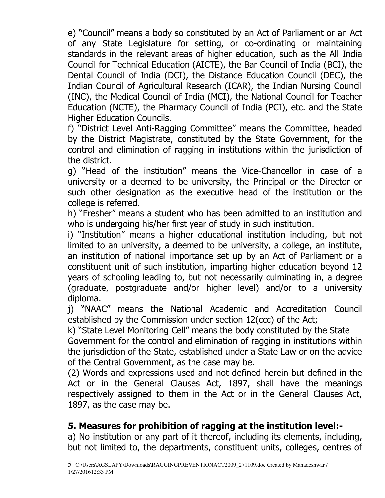e) "Council" means a body so constituted by an Act of Parliament or an Act of any State Legislature for setting, or co-ordinating or maintaining standards in the relevant areas of higher education, such as the All India Council for Technical Education (AICTE), the Bar Council of India (BCI), the Dental Council of India (DCI), the Distance Education Council (DEC), the Indian Council of Agricultural Research (ICAR), the Indian Nursing Council (INC), the Medical Council of India (MCI), the National Council for Teacher Education (NCTE), the Pharmacy Council of India (PCI), etc. and the State Higher Education Councils.

f) "District Level Anti-Ragging Committee" means the Committee, headed by the District Magistrate, constituted by the State Government, for the control and elimination of ragging in institutions within the jurisdiction of the district.

g) "Head of the institution" means the Vice-Chancellor in case of a university or a deemed to be university, the Principal or the Director or such other designation as the executive head of the institution or the college is referred.

h) "Fresher" means a student who has been admitted to an institution and who is undergoing his/her first year of study in such institution.

i) "Institution" means a higher educational institution including, but not limited to an university, a deemed to be university, a college, an institute, an institution of national importance set up by an Act of Parliament or a constituent unit of such institution, imparting higher education beyond 12 years of schooling leading to, but not necessarily culminating in, a degree (graduate, postgraduate and/or higher level) and/or to a university diploma.

j) "NAAC" means the National Academic and Accreditation Council established by the Commission under section 12(ccc) of the Act;

k) "State Level Monitoring Cell" means the body constituted by the State

Government for the control and elimination of ragging in institutions within the jurisdiction of the State, established under a State Law or on the advice of the Central Government, as the case may be.

(2) Words and expressions used and not defined herein but defined in the Act or in the General Clauses Act, 1897, shall have the meanings respectively assigned to them in the Act or in the General Clauses Act, 1897, as the case may be.

# **5. Measures for prohibition of ragging at the institution level:-**

a) No institution or any part of it thereof, including its elements, including, but not limited to, the departments, constituent units, colleges, centres of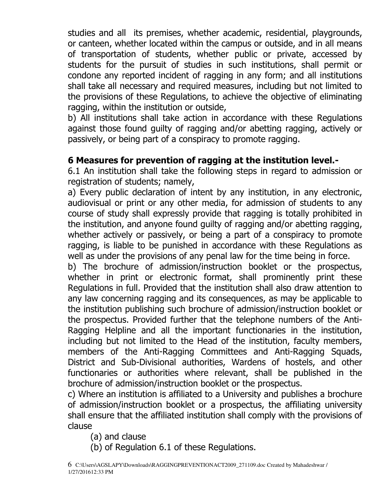studies and all its premises, whether academic, residential, playgrounds, or canteen, whether located within the campus or outside, and in all means of transportation of students, whether public or private, accessed by students for the pursuit of studies in such institutions, shall permit or condone any reported incident of ragging in any form; and all institutions shall take all necessary and required measures, including but not limited to the provisions of these Regulations, to achieve the objective of eliminating ragging, within the institution or outside,

b) All institutions shall take action in accordance with these Regulations against those found guilty of ragging and/or abetting ragging, actively or passively, or being part of a conspiracy to promote ragging.

# **6 Measures for prevention of ragging at the institution level.-**

6.1 An institution shall take the following steps in regard to admission or registration of students; namely,

a) Every public declaration of intent by any institution, in any electronic, audiovisual or print or any other media, for admission of students to any course of study shall expressly provide that ragging is totally prohibited in the institution, and anyone found guilty of ragging and/or abetting ragging, whether actively or passively, or being a part of a conspiracy to promote ragging, is liable to be punished in accordance with these Regulations as well as under the provisions of any penal law for the time being in force.

b) The brochure of admission/instruction booklet or the prospectus, whether in print or electronic format, shall prominently print these Regulations in full. Provided that the institution shall also draw attention to any law concerning ragging and its consequences, as may be applicable to the institution publishing such brochure of admission/instruction booklet or the prospectus. Provided further that the telephone numbers of the Anti-Ragging Helpline and all the important functionaries in the institution, including but not limited to the Head of the institution, faculty members, members of the Anti-Ragging Committees and Anti-Ragging Squads, District and Sub-Divisional authorities, Wardens of hostels, and other functionaries or authorities where relevant, shall be published in the brochure of admission/instruction booklet or the prospectus.

c) Where an institution is affiliated to a University and publishes a brochure of admission/instruction booklet or a prospectus, the affiliating university shall ensure that the affiliated institution shall comply with the provisions of clause

(a) and clause

(b) of Regulation 6.1 of these Regulations.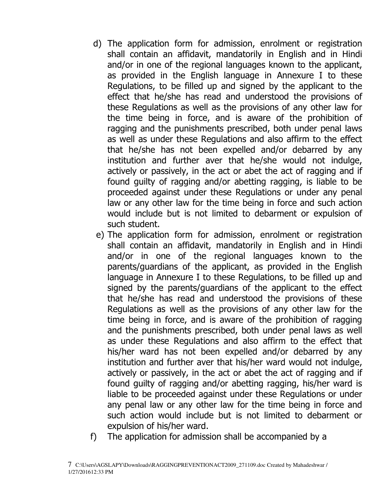- d) The application form for admission, enrolment or registration shall contain an affidavit, mandatorily in English and in Hindi and/or in one of the regional languages known to the applicant, as provided in the English language in Annexure I to these Regulations, to be filled up and signed by the applicant to the effect that he/she has read and understood the provisions of these Regulations as well as the provisions of any other law for the time being in force, and is aware of the prohibition of ragging and the punishments prescribed, both under penal laws as well as under these Regulations and also affirm to the effect that he/she has not been expelled and/or debarred by any institution and further aver that he/she would not indulge, actively or passively, in the act or abet the act of ragging and if found guilty of ragging and/or abetting ragging, is liable to be proceeded against under these Regulations or under any penal law or any other law for the time being in force and such action would include but is not limited to debarment or expulsion of such student.
- e) The application form for admission, enrolment or registration shall contain an affidavit, mandatorily in English and in Hindi and/or in one of the regional languages known to the parents/guardians of the applicant, as provided in the English language in Annexure I to these Regulations, to be filled up and signed by the parents/guardians of the applicant to the effect that he/she has read and understood the provisions of these Regulations as well as the provisions of any other law for the time being in force, and is aware of the prohibition of ragging and the punishments prescribed, both under penal laws as well as under these Regulations and also affirm to the effect that his/her ward has not been expelled and/or debarred by any institution and further aver that his/her ward would not indulge, actively or passively, in the act or abet the act of ragging and if found guilty of ragging and/or abetting ragging, his/her ward is liable to be proceeded against under these Regulations or under any penal law or any other law for the time being in force and such action would include but is not limited to debarment or expulsion of his/her ward.
- f) The application for admission shall be accompanied by a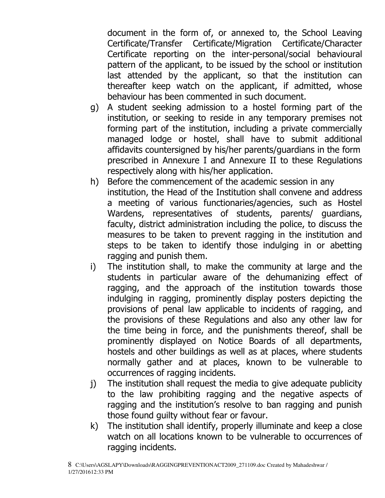document in the form of, or annexed to, the School Leaving Certificate/Transfer Certificate/Migration Certificate/Character Certificate reporting on the inter-personal/social behavioural pattern of the applicant, to be issued by the school or institution last attended by the applicant, so that the institution can thereafter keep watch on the applicant, if admitted, whose behaviour has been commented in such document.

- g) A student seeking admission to a hostel forming part of the institution, or seeking to reside in any temporary premises not forming part of the institution, including a private commercially managed lodge or hostel, shall have to submit additional affidavits countersigned by his/her parents/guardians in the form prescribed in Annexure I and Annexure II to these Regulations respectively along with his/her application.
- h) Before the commencement of the academic session in any institution, the Head of the Institution shall convene and address a meeting of various functionaries/agencies, such as Hostel Wardens, representatives of students, parents/ guardians, faculty, district administration including the police, to discuss the measures to be taken to prevent ragging in the institution and steps to be taken to identify those indulging in or abetting ragging and punish them.
- i) The institution shall, to make the community at large and the students in particular aware of the dehumanizing effect of ragging, and the approach of the institution towards those indulging in ragging, prominently display posters depicting the provisions of penal law applicable to incidents of ragging, and the provisions of these Regulations and also any other law for the time being in force, and the punishments thereof, shall be prominently displayed on Notice Boards of all departments, hostels and other buildings as well as at places, where students normally gather and at places, known to be vulnerable to occurrences of ragging incidents.
- j) The institution shall request the media to give adequate publicity to the law prohibiting ragging and the negative aspects of ragging and the institution's resolve to ban ragging and punish those found guilty without fear or favour.
- k) The institution shall identify, properly illuminate and keep a close watch on all locations known to be vulnerable to occurrences of ragging incidents.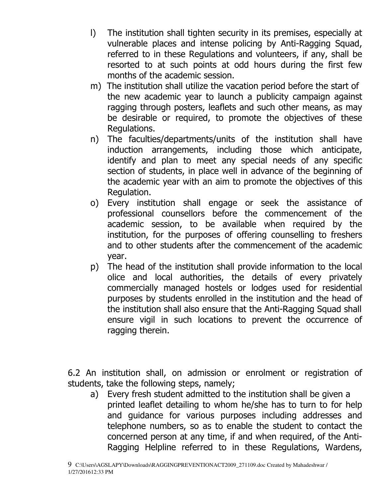- l) The institution shall tighten security in its premises, especially at vulnerable places and intense policing by Anti-Ragging Squad, referred to in these Regulations and volunteers, if any, shall be resorted to at such points at odd hours during the first few months of the academic session.
- m) The institution shall utilize the vacation period before the start of the new academic year to launch a publicity campaign against ragging through posters, leaflets and such other means, as may be desirable or required, to promote the objectives of these Regulations.
- n) The faculties/departments/units of the institution shall have induction arrangements, including those which anticipate, identify and plan to meet any special needs of any specific section of students, in place well in advance of the beginning of the academic year with an aim to promote the objectives of this Regulation.
- o) Every institution shall engage or seek the assistance of professional counsellors before the commencement of the academic session, to be available when required by the institution, for the purposes of offering counselling to freshers and to other students after the commencement of the academic year.
- p) The head of the institution shall provide information to the local olice and local authorities, the details of every privately commercially managed hostels or lodges used for residential purposes by students enrolled in the institution and the head of the institution shall also ensure that the Anti-Ragging Squad shall ensure vigil in such locations to prevent the occurrence of ragging therein.

6.2 An institution shall, on admission or enrolment or registration of students, take the following steps, namely;

 a) Every fresh student admitted to the institution shall be given a printed leaflet detailing to whom he/she has to turn to for help and guidance for various purposes including addresses and telephone numbers, so as to enable the student to contact the concerned person at any time, if and when required, of the Anti-Ragging Helpline referred to in these Regulations, Wardens,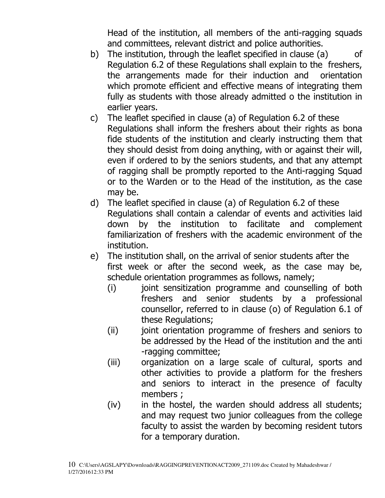Head of the institution, all members of the anti-ragging squads and committees, relevant district and police authorities.

- b) The institution, through the leaflet specified in clause (a) of Regulation 6.2 of these Regulations shall explain to the freshers, the arrangements made for their induction and orientation which promote efficient and effective means of integrating them fully as students with those already admitted o the institution in earlier years.
- c) The leaflet specified in clause (a) of Regulation 6.2 of these Regulations shall inform the freshers about their rights as bona fide students of the institution and clearly instructing them that they should desist from doing anything, with or against their will, even if ordered to by the seniors students, and that any attempt of ragging shall be promptly reported to the Anti-ragging Squad or to the Warden or to the Head of the institution, as the case may be.
- d) The leaflet specified in clause (a) of Regulation 6.2 of these Regulations shall contain a calendar of events and activities laid down by the institution to facilitate and complement familiarization of freshers with the academic environment of the institution.
- e) The institution shall, on the arrival of senior students after the first week or after the second week, as the case may be, schedule orientation programmes as follows, namely;
	- (i) joint sensitization programme and counselling of both freshers and senior students by a professional counsellor, referred to in clause (o) of Regulation 6.1 of these Regulations;
	- (ii) joint orientation programme of freshers and seniors to be addressed by the Head of the institution and the anti -ragging committee;
	- (iii) organization on a large scale of cultural, sports and other activities to provide a platform for the freshers and seniors to interact in the presence of faculty members ;
	- (iv) in the hostel, the warden should address all students; and may request two junior colleagues from the college faculty to assist the warden by becoming resident tutors for a temporary duration.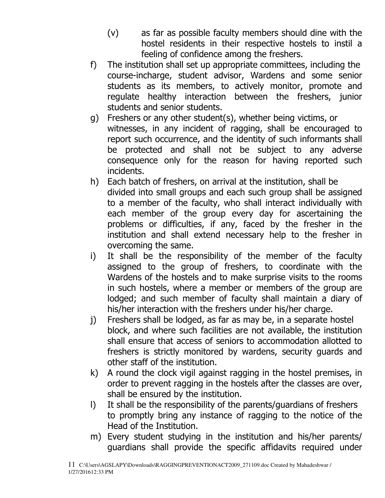- (v) as far as possible faculty members should dine with the hostel residents in their respective hostels to instil a feeling of confidence among the freshers.
- f) The institution shall set up appropriate committees, including the course-incharge, student advisor, Wardens and some senior students as its members, to actively monitor, promote and regulate healthy interaction between the freshers, junior students and senior students.
- g) Freshers or any other student(s), whether being victims, or witnesses, in any incident of ragging, shall be encouraged to report such occurrence, and the identity of such informants shall be protected and shall not be subject to any adverse consequence only for the reason for having reported such incidents.
- h) Each batch of freshers, on arrival at the institution, shall be divided into small groups and each such group shall be assigned to a member of the faculty, who shall interact individually with each member of the group every day for ascertaining the problems or difficulties, if any, faced by the fresher in the institution and shall extend necessary help to the fresher in overcoming the same.
- i) It shall be the responsibility of the member of the faculty assigned to the group of freshers, to coordinate with the Wardens of the hostels and to make surprise visits to the rooms in such hostels, where a member or members of the group are lodged; and such member of faculty shall maintain a diary of his/her interaction with the freshers under his/her charge.
- j) Freshers shall be lodged, as far as may be, in a separate hostel block, and where such facilities are not available, the institution shall ensure that access of seniors to accommodation allotted to freshers is strictly monitored by wardens, security guards and other staff of the institution.
- k) A round the clock vigil against ragging in the hostel premises, in order to prevent ragging in the hostels after the classes are over, shall be ensured by the institution.
- l) It shall be the responsibility of the parents/guardians of freshers to promptly bring any instance of ragging to the notice of the Head of the Institution.
- m) Every student studying in the institution and his/her parents/ guardians shall provide the specific affidavits required under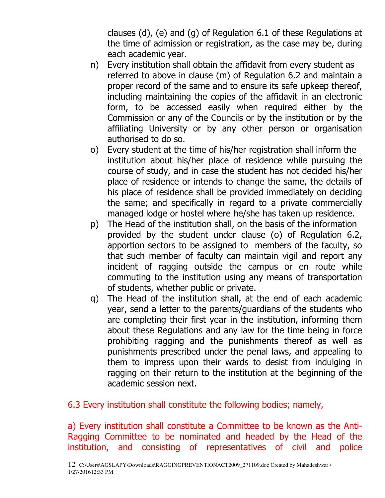clauses (d), (e) and (g) of Regulation 6.1 of these Regulations at the time of admission or registration, as the case may be, during each academic year.

- n) Every institution shall obtain the affidavit from every student as referred to above in clause (m) of Regulation 6.2 and maintain a proper record of the same and to ensure its safe upkeep thereof, including maintaining the copies of the affidavit in an electronic form, to be accessed easily when required either by the Commission or any of the Councils or by the institution or by the affiliating University or by any other person or organisation authorised to do so.
- o) Every student at the time of his/her registration shall inform the institution about his/her place of residence while pursuing the course of study, and in case the student has not decided his/her place of residence or intends to change the same, the details of his place of residence shall be provided immediately on deciding the same; and specifically in regard to a private commercially managed lodge or hostel where he/she has taken up residence.
- p) The Head of the institution shall, on the basis of the information provided by the student under clause (o) of Regulation 6.2, apportion sectors to be assigned to members of the faculty, so that such member of faculty can maintain vigil and report any incident of ragging outside the campus or en route while commuting to the institution using any means of transportation of students, whether public or private.
- q) The Head of the institution shall, at the end of each academic year, send a letter to the parents/guardians of the students who are completing their first year in the institution, informing them about these Regulations and any law for the time being in force prohibiting ragging and the punishments thereof as well as punishments prescribed under the penal laws, and appealing to them to impress upon their wards to desist from indulging in ragging on their return to the institution at the beginning of the academic session next.

#### 6.3 Every institution shall constitute the following bodies; namely,

a) Every institution shall constitute a Committee to be known as the Anti-Ragging Committee to be nominated and headed by the Head of the institution, and consisting of representatives of civil and police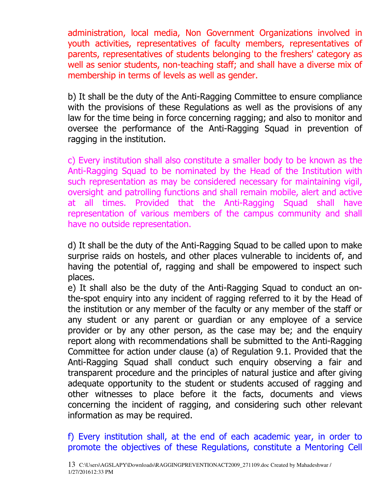administration, local media, Non Government Organizations involved in youth activities, representatives of faculty members, representatives of parents, representatives of students belonging to the freshers' category as well as senior students, non-teaching staff; and shall have a diverse mix of membership in terms of levels as well as gender.

b) It shall be the duty of the Anti-Ragging Committee to ensure compliance with the provisions of these Regulations as well as the provisions of any law for the time being in force concerning ragging; and also to monitor and oversee the performance of the Anti-Ragging Squad in prevention of ragging in the institution.

c) Every institution shall also constitute a smaller body to be known as the Anti-Ragging Squad to be nominated by the Head of the Institution with such representation as may be considered necessary for maintaining vigil, oversight and patrolling functions and shall remain mobile, alert and active at all times. Provided that the Anti-Ragging Squad shall have representation of various members of the campus community and shall have no outside representation.

d) It shall be the duty of the Anti-Ragging Squad to be called upon to make surprise raids on hostels, and other places vulnerable to incidents of, and having the potential of, ragging and shall be empowered to inspect such places.

e) It shall also be the duty of the Anti-Ragging Squad to conduct an onthe-spot enquiry into any incident of ragging referred to it by the Head of the institution or any member of the faculty or any member of the staff or any student or any parent or guardian or any employee of a service provider or by any other person, as the case may be; and the enquiry report along with recommendations shall be submitted to the Anti-Ragging Committee for action under clause (a) of Regulation 9.1. Provided that the Anti-Ragging Squad shall conduct such enquiry observing a fair and transparent procedure and the principles of natural justice and after giving adequate opportunity to the student or students accused of ragging and other witnesses to place before it the facts, documents and views concerning the incident of ragging, and considering such other relevant information as may be required.

f) Every institution shall, at the end of each academic year, in order to promote the objectives of these Regulations, constitute a Mentoring Cell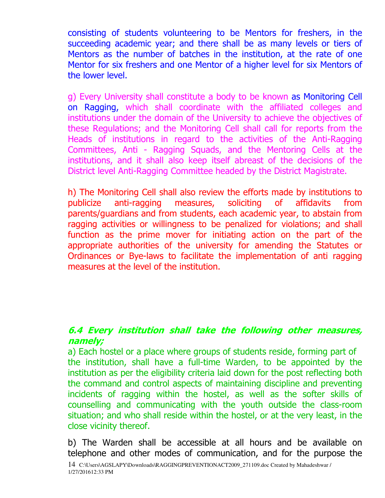consisting of students volunteering to be Mentors for freshers, in the succeeding academic year; and there shall be as many levels or tiers of Mentors as the number of batches in the institution, at the rate of one Mentor for six freshers and one Mentor of a higher level for six Mentors of the lower level.

g) Every University shall constitute a body to be known as Monitoring Cell on Ragging, which shall coordinate with the affiliated colleges and institutions under the domain of the University to achieve the objectives of these Regulations; and the Monitoring Cell shall call for reports from the Heads of institutions in regard to the activities of the Anti-Ragging Committees, Anti - Ragging Squads, and the Mentoring Cells at the institutions, and it shall also keep itself abreast of the decisions of the District level Anti-Ragging Committee headed by the District Magistrate.

h) The Monitoring Cell shall also review the efforts made by institutions to publicize anti-ragging measures, soliciting of affidavits from parents/guardians and from students, each academic year, to abstain from ragging activities or willingness to be penalized for violations; and shall function as the prime mover for initiating action on the part of the appropriate authorities of the university for amending the Statutes or Ordinances or Bye-laws to facilitate the implementation of anti ragging measures at the level of the institution.

# **6.4 Every institution shall take the following other measures, namely;**

a) Each hostel or a place where groups of students reside, forming part of the institution, shall have a full-time Warden, to be appointed by the institution as per the eligibility criteria laid down for the post reflecting both the command and control aspects of maintaining discipline and preventing incidents of ragging within the hostel, as well as the softer skills of counselling and communicating with the youth outside the class-room situation; and who shall reside within the hostel, or at the very least, in the close vicinity thereof.

b) The Warden shall be accessible at all hours and be available on telephone and other modes of communication, and for the purpose the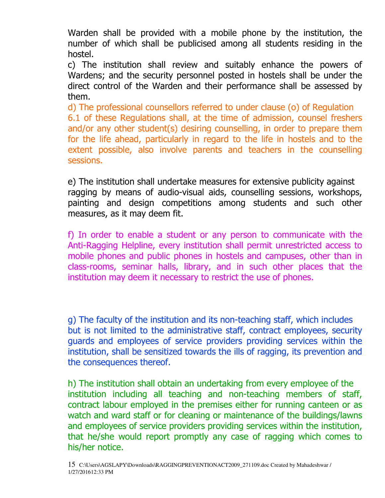Warden shall be provided with a mobile phone by the institution, the number of which shall be publicised among all students residing in the hostel.

c) The institution shall review and suitably enhance the powers of Wardens; and the security personnel posted in hostels shall be under the direct control of the Warden and their performance shall be assessed by them.

d) The professional counsellors referred to under clause (o) of Regulation 6.1 of these Regulations shall, at the time of admission, counsel freshers and/or any other student(s) desiring counselling, in order to prepare them for the life ahead, particularly in regard to the life in hostels and to the extent possible, also involve parents and teachers in the counselling sessions.

e) The institution shall undertake measures for extensive publicity against ragging by means of audio-visual aids, counselling sessions, workshops, painting and design competitions among students and such other measures, as it may deem fit.

f) In order to enable a student or any person to communicate with the Anti-Ragging Helpline, every institution shall permit unrestricted access to mobile phones and public phones in hostels and campuses, other than in class-rooms, seminar halls, library, and in such other places that the institution may deem it necessary to restrict the use of phones.

g) The faculty of the institution and its non-teaching staff, which includes but is not limited to the administrative staff, contract employees, security guards and employees of service providers providing services within the institution, shall be sensitized towards the ills of ragging, its prevention and the consequences thereof.

h) The institution shall obtain an undertaking from every employee of the institution including all teaching and non-teaching members of staff, contract labour employed in the premises either for running canteen or as watch and ward staff or for cleaning or maintenance of the buildings/lawns and employees of service providers providing services within the institution, that he/she would report promptly any case of ragging which comes to his/her notice.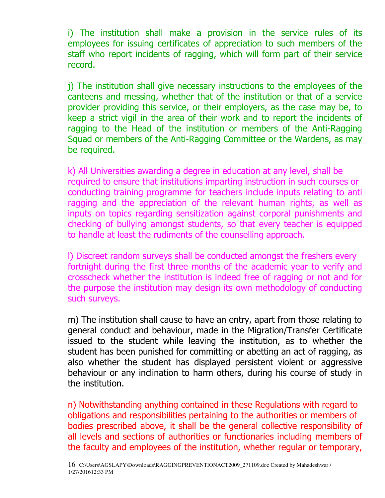i) The institution shall make a provision in the service rules of its employees for issuing certificates of appreciation to such members of the staff who report incidents of ragging, which will form part of their service record.

j) The institution shall give necessary instructions to the employees of the canteens and messing, whether that of the institution or that of a service provider providing this service, or their employers, as the case may be, to keep a strict vigil in the area of their work and to report the incidents of ragging to the Head of the institution or members of the Anti-Ragging Squad or members of the Anti-Ragging Committee or the Wardens, as may be required.

k) All Universities awarding a degree in education at any level, shall be required to ensure that institutions imparting instruction in such courses or conducting training programme for teachers include inputs relating to anti ragging and the appreciation of the relevant human rights, as well as inputs on topics regarding sensitization against corporal punishments and checking of bullying amongst students, so that every teacher is equipped to handle at least the rudiments of the counselling approach.

l) Discreet random surveys shall be conducted amongst the freshers every fortnight during the first three months of the academic year to verify and crosscheck whether the institution is indeed free of ragging or not and for the purpose the institution may design its own methodology of conducting such surveys.

m) The institution shall cause to have an entry, apart from those relating to general conduct and behaviour, made in the Migration/Transfer Certificate issued to the student while leaving the institution, as to whether the student has been punished for committing or abetting an act of ragging, as also whether the student has displayed persistent violent or aggressive behaviour or any inclination to harm others, during his course of study in the institution.

n) Notwithstanding anything contained in these Regulations with regard to obligations and responsibilities pertaining to the authorities or members of bodies prescribed above, it shall be the general collective responsibility of all levels and sections of authorities or functionaries including members of the faculty and employees of the institution, whether regular or temporary,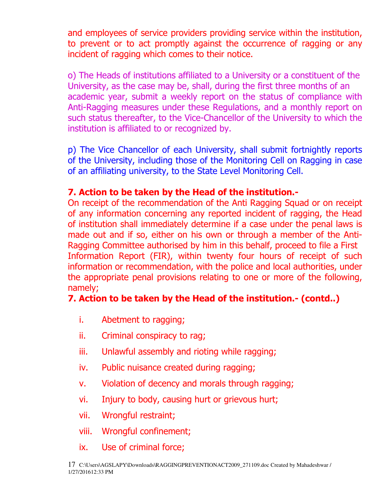and employees of service providers providing service within the institution, to prevent or to act promptly against the occurrence of ragging or any incident of ragging which comes to their notice.

o) The Heads of institutions affiliated to a University or a constituent of the University, as the case may be, shall, during the first three months of an academic year, submit a weekly report on the status of compliance with Anti-Ragging measures under these Regulations, and a monthly report on such status thereafter, to the Vice-Chancellor of the University to which the institution is affiliated to or recognized by.

p) The Vice Chancellor of each University, shall submit fortnightly reports of the University, including those of the Monitoring Cell on Ragging in case of an affiliating university, to the State Level Monitoring Cell.

# **7. Action to be taken by the Head of the institution.-**

On receipt of the recommendation of the Anti Ragging Squad or on receipt of any information concerning any reported incident of ragging, the Head of institution shall immediately determine if a case under the penal laws is made out and if so, either on his own or through a member of the Anti-Ragging Committee authorised by him in this behalf, proceed to file a First Information Report (FIR), within twenty four hours of receipt of such information or recommendation, with the police and local authorities, under the appropriate penal provisions relating to one or more of the following, namely;

# **7. Action to be taken by the Head of the institution.- (contd..)**

- i. Abetment to ragging;
- ii. Criminal conspiracy to rag;
- iii. Unlawful assembly and rioting while ragging;
- iv. Public nuisance created during ragging;
- v. Violation of decency and morals through ragging;
- vi. Injury to body, causing hurt or grievous hurt;
- vii. Wrongful restraint;
- viii. Wrongful confinement;
- ix. Use of criminal force;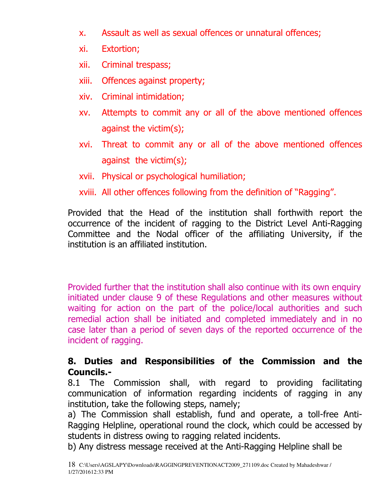- x. Assault as well as sexual offences or unnatural offences;
- xi. Extortion;
- xii. Criminal trespass;
- xiii. Offences against property;
- xiv. Criminal intimidation;
- xv. Attempts to commit any or all of the above mentioned offences against the victim(s);
- xvi. Threat to commit any or all of the above mentioned offences against the victim(s);
- xvii. Physical or psychological humiliation;

xviii. All other offences following from the definition of "Ragging".

Provided that the Head of the institution shall forthwith report the occurrence of the incident of ragging to the District Level Anti-Ragging Committee and the Nodal officer of the affiliating University, if the institution is an affiliated institution.

Provided further that the institution shall also continue with its own enquiry initiated under clause 9 of these Regulations and other measures without waiting for action on the part of the police/local authorities and such remedial action shall be initiated and completed immediately and in no case later than a period of seven days of the reported occurrence of the incident of ragging.

# **8. Duties and Responsibilities of the Commission and the Councils.-**

8.1 The Commission shall, with regard to providing facilitating communication of information regarding incidents of ragging in any institution, take the following steps, namely;

a) The Commission shall establish, fund and operate, a toll-free Anti-Ragging Helpline, operational round the clock, which could be accessed by students in distress owing to ragging related incidents.

b) Any distress message received at the Anti-Ragging Helpline shall be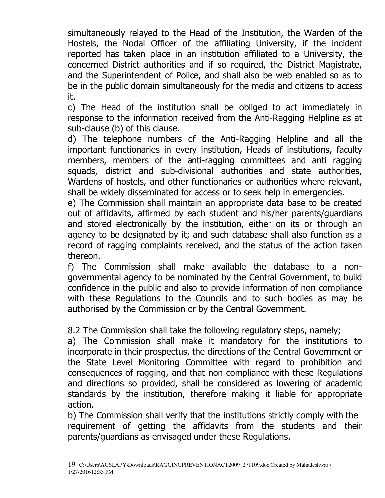simultaneously relayed to the Head of the Institution, the Warden of the Hostels, the Nodal Officer of the affiliating University, if the incident reported has taken place in an institution affiliated to a University, the concerned District authorities and if so required, the District Magistrate, and the Superintendent of Police, and shall also be web enabled so as to be in the public domain simultaneously for the media and citizens to access it.

c) The Head of the institution shall be obliged to act immediately in response to the information received from the Anti-Ragging Helpline as at sub-clause (b) of this clause.

d) The telephone numbers of the Anti-Ragging Helpline and all the important functionaries in every institution, Heads of institutions, faculty members, members of the anti-ragging committees and anti ragging squads, district and sub-divisional authorities and state authorities, Wardens of hostels, and other functionaries or authorities where relevant, shall be widely disseminated for access or to seek help in emergencies.

e) The Commission shall maintain an appropriate data base to be created out of affidavits, affirmed by each student and his/her parents/guardians and stored electronically by the institution, either on its or through an agency to be designated by it; and such database shall also function as a record of ragging complaints received, and the status of the action taken thereon.

f) The Commission shall make available the database to a nongovernmental agency to be nominated by the Central Government, to build confidence in the public and also to provide information of non compliance with these Regulations to the Councils and to such bodies as may be authorised by the Commission or by the Central Government.

8.2 The Commission shall take the following regulatory steps, namely;

a) The Commission shall make it mandatory for the institutions to incorporate in their prospectus, the directions of the Central Government or the State Level Monitoring Committee with regard to prohibition and consequences of ragging, and that non-compliance with these Regulations and directions so provided, shall be considered as lowering of academic standards by the institution, therefore making it liable for appropriate action.

b) The Commission shall verify that the institutions strictly comply with the requirement of getting the affidavits from the students and their parents/guardians as envisaged under these Regulations.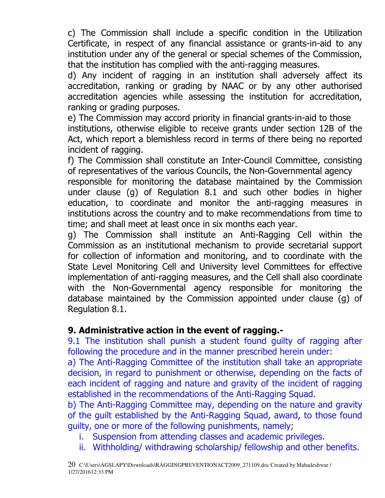c) The Commission shall include a specific condition in the Utilization Certificate, in respect of any financial assistance or grants-in-aid to any institution under any of the general or special schemes of the Commission, that the institution has complied with the anti-ragging measures.

d) Any incident of ragging in an institution shall adversely affect its accreditation, ranking or grading by NAAC or by any other authorised accreditation agencies while assessing the institution for accreditation, ranking or grading purposes.

e) The Commission may accord priority in financial grants-in-aid to those institutions, otherwise eligible to receive grants under section 12B of the Act, which report a blemishless record in terms of there being no reported incident of ragging.

f) The Commission shall constitute an Inter-Council Committee, consisting of representatives of the various Councils, the Non-Governmental agency responsible for monitoring the database maintained by the Commission under clause (g) of Regulation 8.1 and such other bodies in higher education, to coordinate and monitor the anti-ragging measures in institutions across the country and to make recommendations from time to time; and shall meet at least once in six months each year.

g) The Commission shall institute an Anti-Ragging Cell within the Commission as an institutional mechanism to provide secretarial support for collection of information and monitoring, and to coordinate with the State Level Monitoring Cell and University level Committees for effective implementation of anti-ragging measures, and the Cell shall also coordinate with the Non-Governmental agency responsible for monitoring the database maintained by the Commission appointed under clause (g) of Regulation 8.1.

# **9. Administrative action in the event of ragging.-**

9.1 The institution shall punish a student found guilty of ragging after following the procedure and in the manner prescribed herein under:

a) The Anti-Ragging Committee of the institution shall take an appropriate decision, in regard to punishment or otherwise, depending on the facts of each incident of ragging and nature and gravity of the incident of ragging established in the recommendations of the Anti-Ragging Squad.

b) The Anti-Ragging Committee may, depending on the nature and gravity of the guilt established by the Anti-Ragging Squad, award, to those found guilty, one or more of the following punishments, namely;

- i. Suspension from attending classes and academic privileges.
- ii. Withholding/ withdrawing scholarship/ fellowship and other benefits.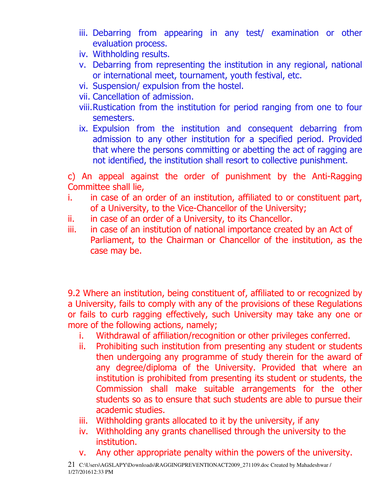- iii. Debarring from appearing in any test/ examination or other evaluation process.
- iv. Withholding results.
- v. Debarring from representing the institution in any regional, national or international meet, tournament, youth festival, etc.
- vi. Suspension/ expulsion from the hostel.
- vii. Cancellation of admission.
- viii.Rustication from the institution for period ranging from one to four semesters.
- ix. Expulsion from the institution and consequent debarring from admission to any other institution for a specified period. Provided that where the persons committing or abetting the act of ragging are not identified, the institution shall resort to collective punishment.

c) An appeal against the order of punishment by the Anti-Ragging Committee shall lie,

- i. in case of an order of an institution, affiliated to or constituent part, of a University, to the Vice-Chancellor of the University;
- ii. in case of an order of a University, to its Chancellor.
- iii. in case of an institution of national importance created by an Act of Parliament, to the Chairman or Chancellor of the institution, as the case may be.

9.2 Where an institution, being constituent of, affiliated to or recognized by a University, fails to comply with any of the provisions of these Regulations or fails to curb ragging effectively, such University may take any one or more of the following actions, namely;

- i. Withdrawal of affiliation/recognition or other privileges conferred.
- ii. Prohibiting such institution from presenting any student or students then undergoing any programme of study therein for the award of any degree/diploma of the University. Provided that where an institution is prohibited from presenting its student or students, the Commission shall make suitable arrangements for the other students so as to ensure that such students are able to pursue their academic studies.
- iii. Withholding grants allocated to it by the university, if any
- iv. Withholding any grants chanellised through the university to the institution.
- v. Any other appropriate penalty within the powers of the university.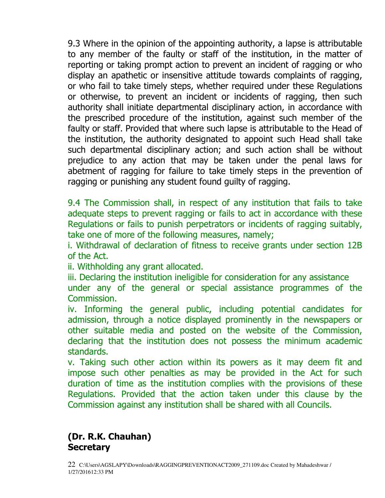9.3 Where in the opinion of the appointing authority, a lapse is attributable to any member of the faulty or staff of the institution, in the matter of reporting or taking prompt action to prevent an incident of ragging or who display an apathetic or insensitive attitude towards complaints of ragging, or who fail to take timely steps, whether required under these Regulations or otherwise, to prevent an incident or incidents of ragging, then such authority shall initiate departmental disciplinary action, in accordance with the prescribed procedure of the institution, against such member of the faulty or staff. Provided that where such lapse is attributable to the Head of the institution, the authority designated to appoint such Head shall take such departmental disciplinary action; and such action shall be without prejudice to any action that may be taken under the penal laws for abetment of ragging for failure to take timely steps in the prevention of ragging or punishing any student found guilty of ragging.

9.4 The Commission shall, in respect of any institution that fails to take adequate steps to prevent ragging or fails to act in accordance with these Regulations or fails to punish perpetrators or incidents of ragging suitably, take one of more of the following measures, namely;

i. Withdrawal of declaration of fitness to receive grants under section 12B of the Act.

ii. Withholding any grant allocated.

iii. Declaring the institution ineligible for consideration for any assistance

under any of the general or special assistance programmes of the Commission.

iv. Informing the general public, including potential candidates for admission, through a notice displayed prominently in the newspapers or other suitable media and posted on the website of the Commission, declaring that the institution does not possess the minimum academic standards.

v. Taking such other action within its powers as it may deem fit and impose such other penalties as may be provided in the Act for such duration of time as the institution complies with the provisions of these Regulations. Provided that the action taken under this clause by the Commission against any institution shall be shared with all Councils.

# **(Dr. R.K. Chauhan) Secretary**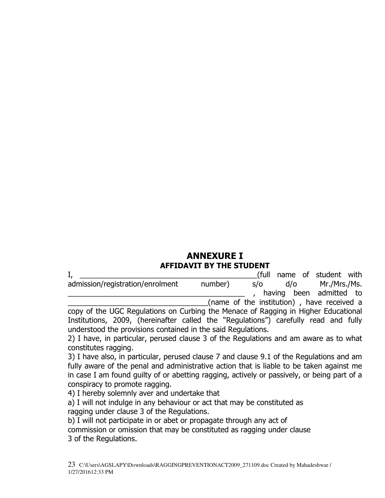#### **ANNEXURE I AFFIDAVIT BY THE STUDENT**

| ı,                                                                                 |                                            |     |     | (full name of student with |  |
|------------------------------------------------------------------------------------|--------------------------------------------|-----|-----|----------------------------|--|
| admission/registration/enrolment                                                   | number)                                    | S/O | d/o | Mr./Mrs./Ms.               |  |
|                                                                                    |                                            |     |     | having been admitted to    |  |
|                                                                                    | (name of the institution), have received a |     |     |                            |  |
| copy of the UGC Regulations on Curbing the Menace of Ragging in Higher Educational |                                            |     |     |                            |  |

Institutions, 2009, (hereinafter called the "Regulations") carefully read and fully understood the provisions contained in the said Regulations.

2) I have, in particular, perused clause 3 of the Regulations and am aware as to what constitutes ragging.

3) I have also, in particular, perused clause 7 and clause 9.1 of the Regulations and am fully aware of the penal and administrative action that is liable to be taken against me in case I am found guilty of or abetting ragging, actively or passively, or being part of a conspiracy to promote ragging.

4) I hereby solemnly aver and undertake that

a) I will not indulge in any behaviour or act that may be constituted as ragging under clause 3 of the Regulations.

b) I will not participate in or abet or propagate through any act of commission or omission that may be constituted as ragging under clause 3 of the Regulations.

23 C:\Users\AGSLAPY\Downloads\RAGGINGPREVENTIONACT2009\_271109.doc Created by Mahadeshwar / 1/27/201612:33 PM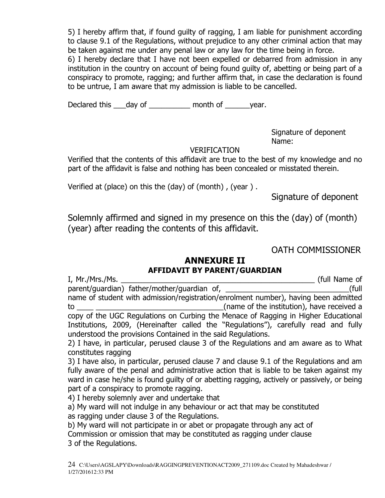5) I hereby affirm that, if found guilty of ragging, I am liable for punishment according to clause 9.1 of the Regulations, without prejudice to any other criminal action that may be taken against me under any penal law or any law for the time being in force.

6) I hereby declare that I have not been expelled or debarred from admission in any institution in the country on account of being found guilty of, abetting or being part of a conspiracy to promote, ragging; and further affirm that, in case the declaration is found to be untrue, I am aware that my admission is liable to be cancelled.

Declared this \_\_\_day of \_\_\_\_\_\_\_\_\_\_\_ month of \_\_\_\_\_\_\_year.

Signature of deponent Name:

#### VERIFICATION

Verified that the contents of this affidavit are true to the best of my knowledge and no part of the affidavit is false and nothing has been concealed or misstated therein.

Verified at (place) on this the (day) of (month) , (year ) .

Signature of deponent

Solemnly affirmed and signed in my presence on this the (day) of (month) (year) after reading the contents of this affidavit.

## OATH COMMISSIONER

#### **ANNEXURE II AFFIDAVIT BY PARENT/GUARDIAN**

I, Mr./Mrs./Ms. \_\_\_\_\_\_\_\_\_\_\_\_\_\_\_\_\_\_\_\_\_\_\_\_\_\_\_\_\_\_\_\_\_\_\_\_\_\_\_\_\_\_\_\_\_\_\_ (full Name of parent/guardian) father/mother/guardian of, \_\_\_\_\_\_\_\_\_\_\_\_\_\_\_\_\_\_\_\_\_\_\_\_\_\_\_\_\_\_(full name of student with admission/registration/enrolment number), having been admitted to **the institution**), have received a copy of the UGC Regulations on Curbing the Menace of Ragging in Higher Educational Institutions, 2009, (Hereinafter called the "Regulations"), carefully read and fully understood the provisions Contained in the said Regulations.

2) I have, in particular, perused clause 3 of the Regulations and am aware as to What constitutes ragging

3) I have also, in particular, perused clause 7 and clause 9.1 of the Regulations and am fully aware of the penal and administrative action that is liable to be taken against my ward in case he/she is found guilty of or abetting ragging, actively or passively, or being part of a conspiracy to promote ragging.

4) I hereby solemnly aver and undertake that

a) My ward will not indulge in any behaviour or act that may be constituted

as ragging under clause 3 of the Regulations.

b) My ward will not participate in or abet or propagate through any act of Commission or omission that may be constituted as ragging under clause 3 of the Regulations.